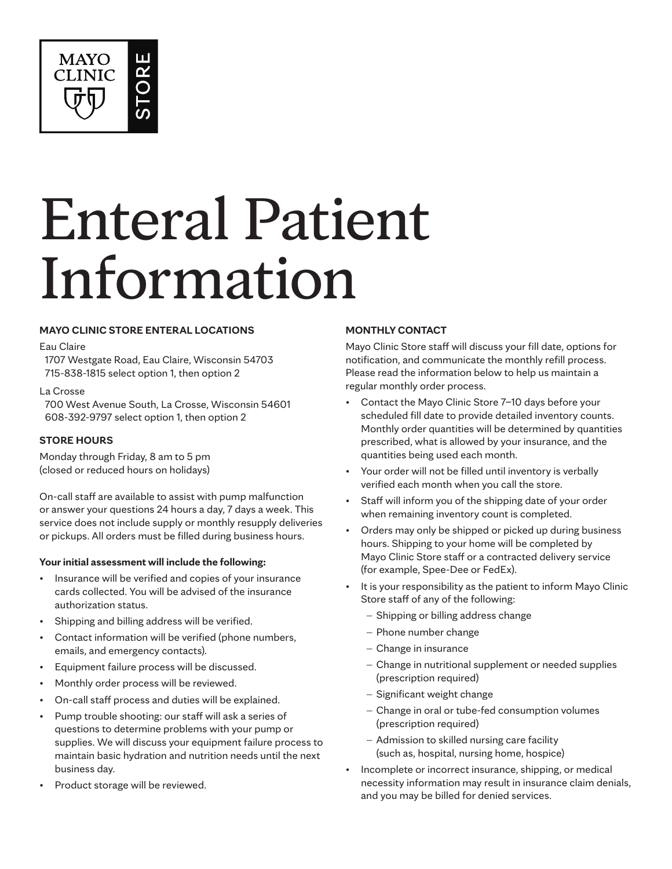

# Enteral Patient Information

## **MAYO CLINIC STORE ENTERAL LOCATIONS**

#### Eau Claire

1707 Westgate Road, Eau Claire, Wisconsin 54703 715-838-1815 select option 1, then option 2

#### La Crosse

700 West Avenue South, La Crosse, Wisconsin 54601 608-392-9797 select option 1, then option 2

### **STORE HOURS**

Monday through Friday, 8 am to 5 pm (closed or reduced hours on holidays)

On-call staff are available to assist with pump malfunction or answer your questions 24 hours a day, 7 days a week. This service does not include supply or monthly resupply deliveries or pickups. All orders must be filled during business hours.

### **Your initial assessment will include the following:**

- Insurance will be verified and copies of your insurance cards collected. You will be advised of the insurance authorization status.
- Shipping and billing address will be verified.
- Contact information will be verified (phone numbers, emails, and emergency contacts).
- Equipment failure process will be discussed.
- Monthly order process will be reviewed.
- On-call staff process and duties will be explained.
- Pump trouble shooting: our staff will ask a series of questions to determine problems with your pump or supplies. We will discuss your equipment failure process to maintain basic hydration and nutrition needs until the next business day.
- Product storage will be reviewed.

## **MONTHLY CONTACT**

Mayo Clinic Store staff will discuss your fill date, options for notification, and communicate the monthly refill process. Please read the information below to help us maintain a regular monthly order process.

- Contact the Mayo Clinic Store 7–10 days before your scheduled fill date to provide detailed inventory counts. Monthly order quantities will be determined by quantities prescribed, what is allowed by your insurance, and the quantities being used each month.
- Your order will not be filled until inventory is verbally verified each month when you call the store.
- Staff will inform you of the shipping date of your order when remaining inventory count is completed.
- Orders may only be shipped or picked up during business hours. Shipping to your home will be completed by Mayo Clinic Store staff or a contracted delivery service (for example, Spee-Dee or FedEx).
- It is your responsibility as the patient to inform Mayo Clinic Store staff of any of the following:
	- − Shipping or billing address change
	- − Phone number change
	- − Change in insurance
	- − Change in nutritional supplement or needed supplies (prescription required)
	- − Significant weight change
	- − Change in oral or tube-fed consumption volumes (prescription required)
	- − Admission to skilled nursing care facility (such as, hospital, nursing home, hospice)
- Incomplete or incorrect insurance, shipping, or medical necessity information may result in insurance claim denials, and you may be billed for denied services.